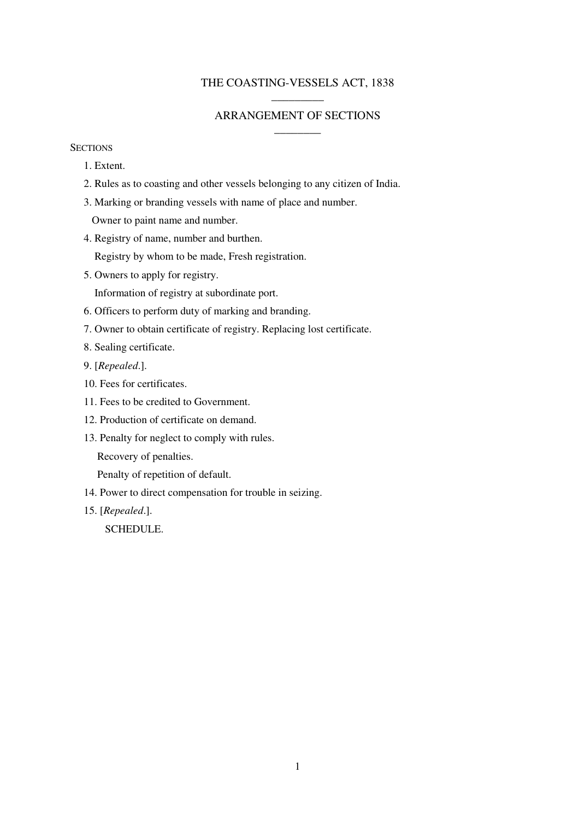## THE COASTING-VESSELS ACT, 1838 \_\_\_\_\_\_\_\_\_

# ARRANGEMENT OF SECTIONS  $\overline{\phantom{a}}$

## **SECTIONS**

- 1. Extent.
- 2. Rules as to coasting and other vessels belonging to any citizen of India.
- 3. Marking or branding vessels with name of place and number. Owner to paint name and number.
- 4. Registry of name, number and burthen.

Registry by whom to be made, Fresh registration.

5. Owners to apply for registry.

Information of registry at subordinate port.

- 6. Officers to perform duty of marking and branding.
- 7. Owner to obtain certificate of registry. Replacing lost certificate.
- 8. Sealing certificate.
- 9. [*Repealed*.].
- 10. Fees for certificates.
- 11. Fees to be credited to Government.
- 12. Production of certificate on demand.
- 13. Penalty for neglect to comply with rules.

Recovery of penalties.

Penalty of repetition of default.

- 14. Power to direct compensation for trouble in seizing.
- 15. [*Repealed*.].

SCHEDULE.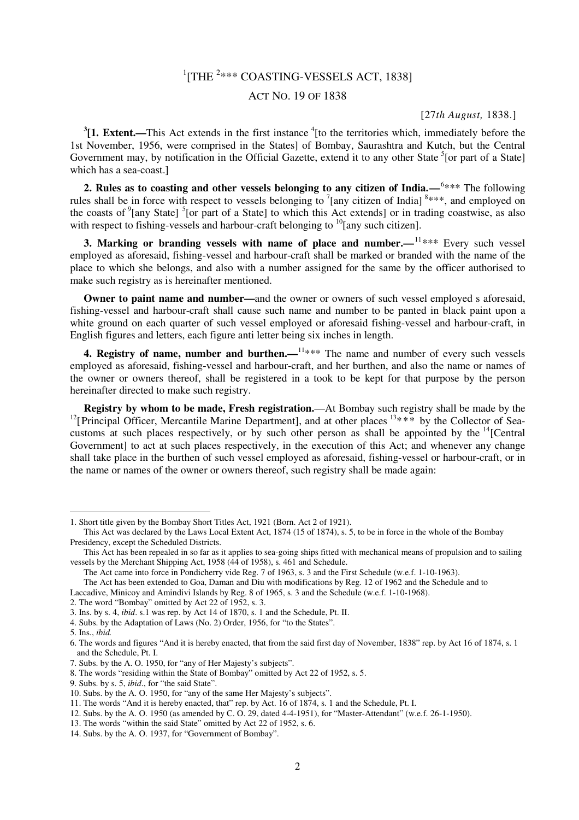# $1$ [THE  $2***$  COASTING-VESSELS ACT, 1838]

## ACT NO. 19 OF 1838

#### [27*th August,* 1838.]

 $3$ [1. Extent.—This Act extends in the first instance  $4$ [to the territories which, immediately before the 1st November, 1956, were comprised in the States] of Bombay, Saurashtra and Kutch, but the Central Government may, by notification in the Official Gazette, extend it to any other State <sup>5</sup>[or part of a State] which has a sea-coast.]

2. Rules as to coasting and other vessels belonging to any citizen of India.—<sup>6\*\*\*</sup> The following rules shall be in force with respect to vessels belonging to  $\frac{7}{2}$  [any citizen of India]  $\frac{8***}{2}$ , and employed on the coasts of <sup>9</sup>[any State]<sup>5</sup>[or part of a State] to which this Act extends] or in trading coastwise, as also with respect to fishing-vessels and harbour-craft belonging to <sup>10</sup>[any such citizen].

**3. Marking or branding vessels with name of place and number.—<sup>11\*\*\*</sup> Every such vessel** employed as aforesaid, fishing-vessel and harbour-craft shall be marked or branded with the name of the place to which she belongs, and also with a number assigned for the same by the officer authorised to make such registry as is hereinafter mentioned.

**Owner to paint name and number—and the owner or owners of such vessel employed s aforesaid,** fishing-vessel and harbour-craft shall cause such name and number to be panted in black paint upon a white ground on each quarter of such vessel employed or aforesaid fishing-vessel and harbour-craft, in English figures and letters, each figure anti letter being six inches in length.

**4. Registry of name, number and burthen.**—<sup>11\*\*\*</sup> The name and number of every such vessels employed as aforesaid, fishing-vessel and harbour-craft, and her burthen, and also the name or names of the owner or owners thereof, shall be registered in a took to be kept for that purpose by the person hereinafter directed to make such registry.

**Registry by whom to be made, Fresh registration.**—At Bombay such registry shall be made by the <sup>12</sup>[Principal Officer, Mercantile Marine Department], and at other places  $13***$  by the Collector of Seacustoms at such places respectively, or by such other person as shall be appointed by the  $\frac{14}{12}$ [Central] Government] to act at such places respectively, in the execution of this Act; and whenever any change shall take place in the burthen of such vessel employed as aforesaid, fishing-vessel or harbour-craft, or in the name or names of the owner or owners thereof, such registry shall be made again:

 $\overline{a}$ 

<sup>1.</sup> Short title given by the Bombay Short Titles Act, 1921 (Born. Act 2 of 1921).

This Act was declared by the Laws Local Extent Act, 1874 (15 of 1874), s. 5, to be in force in the whole of the Bombay Presidency, except the Scheduled Districts.

This Act has been repealed in so far as it applies to sea-going ships fitted with mechanical means of propulsion and to sailing vessels by the Merchant Shipping Act, 1958 (44 of 1958), s. 461 and Schedule.

The Act came into force in Pondicherry vide Reg. 7 of 1963, s. 3 and the First Schedule (w.e.f. 1-10-1963).

The Act has been extended to Goa, Daman and Diu with modifications by Reg. 12 of 1962 and the Schedule and to Laccadive, Minicoy and Amindivi Islands by Reg. 8 of 1965, s. 3 and the Schedule (w.e.f. 1-10-1968).

<sup>2.</sup> The word "Bombay" omitted by Act 22 of 1952, s. 3.

<sup>3.</sup> Ins. by s. 4, *ibid*. s.1 was rep. by Act 14 of 1870, s. 1 and the Schedule, Pt. II.

<sup>4.</sup> Subs. by the Adaptation of Laws (No. 2) Order, 1956, for "to the States".

<sup>5.</sup> Ins., *ibid.*

<sup>6.</sup> The words and figures "And it is hereby enacted, that from the said first day of November, 1838" rep. by Act 16 of 1874, s. 1 and the Schedule, Pt. I.

<sup>7.</sup> Subs. by the A. O. 1950, for "any of Her Majesty's subjects".

<sup>8.</sup> The words "residing within the State of Bombay" omitted by Act 22 of 1952, s. 5.

<sup>9.</sup> Subs. by s. 5, *ibid*., for "the said State".

<sup>10.</sup> Subs. by the A. O. 1950, for "any of the same Her Majesty's subjects".

<sup>11.</sup> The words "And it is hereby enacted, that" rep. by Act. 16 of 1874, s. 1 and the Schedule, Pt. I.

<sup>12.</sup> Subs. by the A. O. 1950 (as amended by C. O. 29, dated 4-4-1951), for "Master-Attendant" (w.e.f. 26-1-1950).

<sup>13.</sup> The words "within the said State" omitted by Act 22 of 1952, s. 6.

<sup>14.</sup> Subs. by the A. O. 1937, for "Government of Bombay".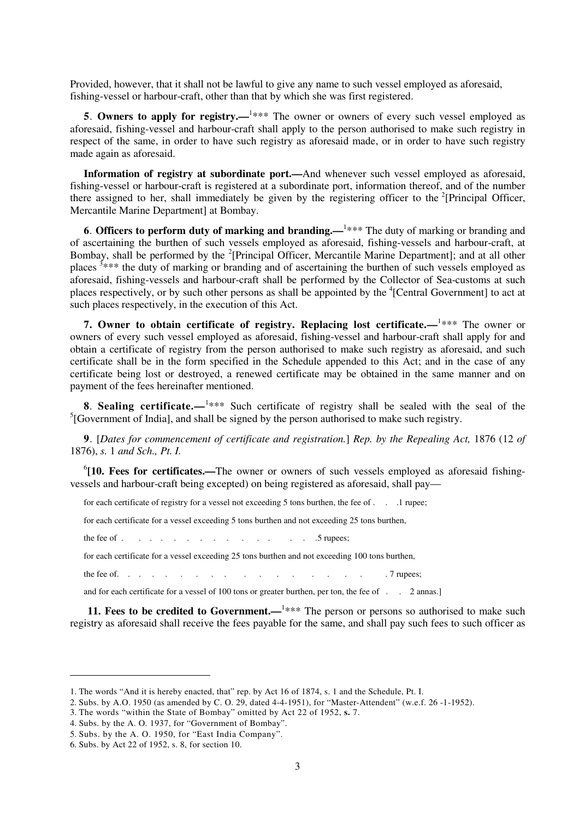Provided, however, that it shall not be lawful to give any name to such vessel employed as aforesaid, fishing-vessel or harbour-craft, other than that by which she was first registered.

**5. Owners to apply for registry.—<sup>1\*\*\*</sup>** The owner or owners of every such vessel employed as aforesaid, fishing-vessel and harbour-craft shall apply to the person authorised to make such registry in respect of the same, in order to have such registry as aforesaid made, or in order to have such registry made again as aforesaid.

**Information of registry at subordinate port.—**And whenever such vessel employed as aforesaid, fishing-vessel or harbour-craft is registered at a subordinate port, information thereof, and of the number there assigned to her, shall immediately be given by the registering officer to the  $2$ [Principal Officer, Mercantile Marine Department] at Bombay.

**6. Officers to perform duty of marking and branding.—<sup>1\*\*\*</sup> The duty of marking or branding and** of ascertaining the burthen of such vessels employed as aforesaid, fishing-vessels and harbour-craft, at Bombay, shall be performed by the <sup>2</sup>[Principal Officer, Mercantile Marine Department]; and at all other places <sup>3\*\*\*</sup> the duty of marking or branding and of ascertaining the burthen of such vessels employed as aforesaid, fishing-vessels and harbour-craft shall be performed by the Collector of Sea-customs at such places respectively, or by such other persons as shall be appointed by the <sup>4</sup>[Central Government] to act at such places respectively, in the execution of this Act.

**7. Owner to obtain certificate of registry. Replacing lost certificate.**—<sup>1\*\*\*</sup> The owner or owners of every such vessel employed as aforesaid, fishing-vessel and harbour-craft shall apply for and obtain a certificate of registry from the person authorised to make such registry as aforesaid, and such certificate shall be in the form specified in the Schedule appended to this Act; and in the case of any certificate being lost or destroyed, a renewed certificate may be obtained in the same manner and on payment of the fees hereinafter mentioned.

**8. Sealing certificate.—<sup>1</sup>\*\*\*** Such certificate of registry shall be sealed with the seal of the  $<sup>5</sup>$ [Government of India], and shall be signed by the person authorised to make such registry.</sup>

**9**. [*Dates for commencement of certificate and registration.*] *Rep. by the Repealing Act,* 1876 (12 *of*  1876), *s.* 1 *and Sch., Pt. I.* 

<sup>6</sup>[10. Fees for certificates.—The owner or owners of such vessels employed as aforesaid fishingvessels and harbour-craft being excepted) on being registered as aforesaid, shall pay—

for each certificate of registry for a vessel not exceeding 5 tons burthen, the fee of . . .1 rupee;

for each certificate for a vessel exceeding 5 tons burthen and not exceeding 25 tons burthen,

the fee of  $\ldots$  . . . . . . . . . . . . . . . . . 5 rupees;

for each certificate for a vessel exceeding 25 tons burthen and not exceeding 100 tons burthen,

the fee of. . . . . . . . . . . . . . . . . . 7 rupees;

and for each certificate for a vessel of 100 tons or greater burthen, per ton, the fee of . . 2 annas.]

**11. Fees to be credited to Government.**—<sup>1\*\*\*</sup> The person or persons so authorised to make such registry as aforesaid shall receive the fees payable for the same, and shall pay such fees to such officer as

 $\overline{a}$ 

<sup>1.</sup> The words "And it is hereby enacted, that" rep. by Act 16 of 1874, s. 1 and the Schedule, Pt. I.

<sup>2.</sup> Subs. by A.O. 1950 (as amended by C. O. 29, dated 4-4-1951), for "Master-Attendent" (w.e.f. 26 -1-1952).

<sup>3.</sup> The words "within the State of Bombay" omitted by Act 22 of 1952, **s.** 7.

<sup>4.</sup> Subs. by the A. O. 1937, for "Government of Bombay".

<sup>5.</sup> Subs. by the A. O. 1950, for "East India Company".

<sup>6.</sup> Subs. by Act 22 of 1952, s. 8, for section 10.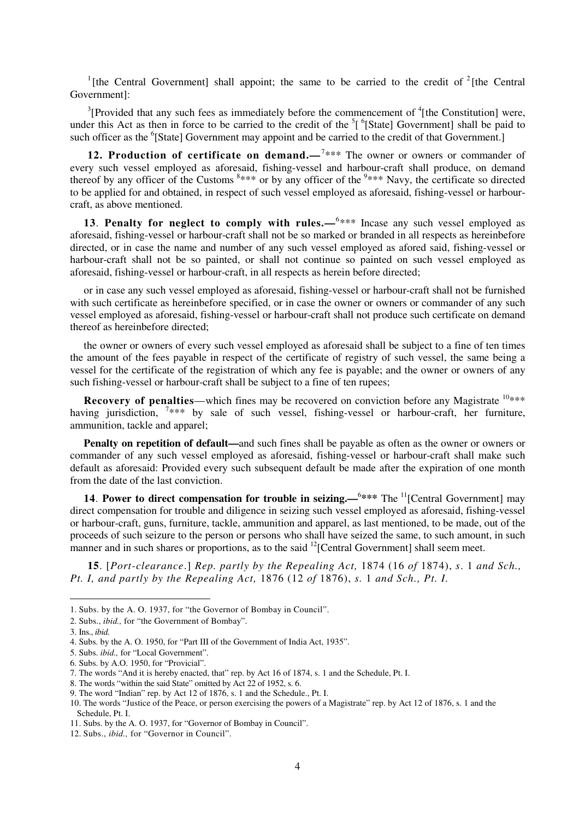<sup>1</sup>[the Central Government] shall appoint; the same to be carried to the credit of  $2$ [the Central Government]:

 $3$ [Provided that any such fees as immediately before the commencement of  $4$ [the Constitution] were, under this Act as then in force to be carried to the credit of the  ${}^{5}$ [ ${}^{6}$ [State] Government] shall be paid to such officer as the <sup>6</sup>[State] Government may appoint and be carried to the credit of that Government.]

**12. Production of certificate on demand.**—<sup>7\*\*\*</sup> The owner or owners or commander of every such vessel employed as aforesaid, fishing-vessel and harbour-craft shall produce, on demand thereof by any officer of the Customs  $8***$  or by any officer of the  $9***$  Navy, the certificate so directed to be applied for and obtained, in respect of such vessel employed as aforesaid, fishing-vessel or harbourcraft, as above mentioned.

**13. Penalty for neglect to comply with rules.—<sup>6\*\*\*</sup> Incase any such vessel employed as** aforesaid, fishing-vessel or harbour-craft shall not be so marked or branded in all respects as hereinbefore directed, or in case the name and number of any such vessel employed as afored said, fishing-vessel or harbour-craft shall not be so painted, or shall not continue so painted on such vessel employed as aforesaid, fishing-vessel or harbour-craft, in all respects as herein before directed;

or in case any such vessel employed as aforesaid, fishing-vessel or harbour-craft shall not be furnished with such certificate as hereinbefore specified, or in case the owner or owners or commander of any such vessel employed as aforesaid, fishing-vessel or harbour-craft shall not produce such certificate on demand thereof as hereinbefore directed;

the owner or owners of every such vessel employed as aforesaid shall be subject to a fine of ten times the amount of the fees payable in respect of the certificate of registry of such vessel, the same being a vessel for the certificate of the registration of which any fee is payable; and the owner or owners of any such fishing-vessel or harbour-craft shall be subject to a fine of ten rupees;

**Recovery of penalties—which fines may be recovered on conviction before any Magistrate**  $10***$ having jurisdiction, <sup>7\*\*\*</sup> by sale of such vessel, fishing-vessel or harbour-craft, her furniture, ammunition, tackle and apparel;

**Penalty on repetition of default—and such fines shall be payable as often as the owner or owners or** commander of any such vessel employed as aforesaid, fishing-vessel or harbour-craft shall make such default as aforesaid: Provided every such subsequent default be made after the expiration of one month from the date of the last conviction.

**14. Power to direct compensation for trouble in seizing.—<sup>6\*\*\*</sup> The <sup>11</sup>[Central Government] may** direct compensation for trouble and diligence in seizing such vessel employed as aforesaid, fishing-vessel or harbour-craft, guns, furniture, tackle, ammunition and apparel, as last mentioned, to be made, out of the proceeds of such seizure to the person or persons who shall have seized the same, to such amount, in such manner and in such shares or proportions, as to the said  $^{12}$ [Central Government] shall seem meet.

**15**. [*Port-clearance*.] *Rep. partly by the Repealing Act,* 1874 (16 *of* 1874), *s*. 1 *and Sch., Pt. I, and partly by the Repealing Act,* 1876 (12 *of* 1876), *s.* 1 *and Sch., Pt. I.* 

 $\overline{a}$ 

<sup>1.</sup> Subs. by the A. O. 1937, for "the Governor of Bombay in Council".

<sup>2.</sup> Subs., *ibid.,* for "the Government of Bombay".

<sup>3.</sup> Ins., *ibid.*

<sup>4.</sup> Subs. by the A. O. 1950, for "Part III of the Government of India Act, 1935".

<sup>5.</sup> Subs. *ibid.,* for "Local Government".

<sup>6.</sup> Subs. by A.O. 1950, for "Provicial".

<sup>7.</sup> The words "And it is hereby enacted, that" rep. by Act 16 of 1874, s. 1 and the Schedule, Pt. I.

<sup>8.</sup> The words "within the said State" omitted by Act 22 of 1952, s. 6.

<sup>9.</sup> The word "Indian" rep. by Act 12 of 1876, s. 1 and the Schedule., Pt. I.

<sup>10.</sup> The words "Justice of the Peace, or person exercising the powers of a Magistrate" rep. by Act 12 of 1876, s. 1 and the Schedule, Pt. I.

<sup>11.</sup> Subs. by the A. O. 1937, for "Governor of Bombay in Council".

<sup>12.</sup> Subs., *ibid.,* for "Governor in Council".